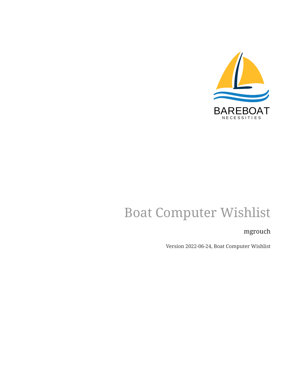

# Boat Computer Wishlist

#### mgrouch

Version 2022-06-24, Boat Computer Wishlist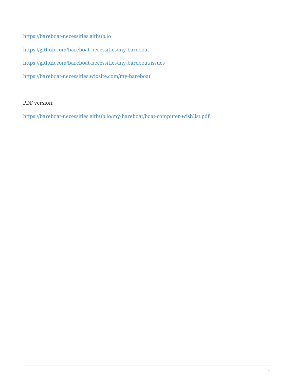<https://bareboat-necessities.github.io>

<https://github.com/bareboat-necessities/my-bareboat>

<https://github.com/bareboat-necessities/my-bareboat/issues>

<https://bareboat-necessities.wixsite.com/my-bareboat>

PDF version:

<https://bareboat-necessities.github.io/my-bareboat/boat-computer-wishlist.pdf>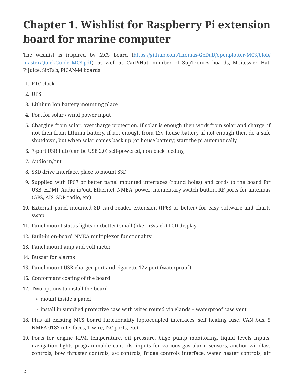## **Chapter 1. Wishlist for Raspberry Pi extension board for marine computer**

The wishlist is inspired by MCS board ([https://github.com/Thomas-GeDaD/openplotter-MCS/blob/](https://github.com/Thomas-GeDaD/openplotter-MCS/blob/master/QuickGuide_MCS.pdf) [master/QuickGuide\\_MCS.pdf\)](https://github.com/Thomas-GeDaD/openplotter-MCS/blob/master/QuickGuide_MCS.pdf), as well as CarPiHat, number of SupTronics boards, Moitessier Hat, PiJuice, SixFab, PICAN-M boards

- 1. RTC clock
- 2. UPS
- 3. Lithium Ion battery mounting place
- 4. Port for solar / wind power input
- 5. Charging from solar, overcharge protection. If solar is enough then work from solar and charge, if not then from lithium battery, if not enough from 12v house battery, if not enough then do a safe shutdown, but when solar comes back up (or house battery) start the pi automatically
- 6. 7-port USB hub (can be USB 2.0) self-powered, non back feeding
- 7. Audio in/out
- 8. SSD drive interface, place to mount SSD
- 9. Supplied with IP67 or better panel mounted interfaces (round holes) and cords to the board for USB, HDMI, Audio in/out, Ethernet, NMEA, power, momentary switch button, RF ports for antennas (GPS, AIS, SDR radio, etc)
- 10. External panel mounted SD card reader extension (IP68 or better) for easy software and charts swap
- 11. Panel mount status lights or (better) small (like m5stack) LCD display
- 12. Built-in on-board NMEA multiplexor functionality
- 13. Panel mount amp and volt meter
- 14. Buzzer for alarms
- 15. Panel mount USB charger port and cigarette 12v port (waterproof)
- 16. Conformant coating of the board
- 17. Two options to install the board
	- mount inside a panel
	- install in supplied protective case with wires routed via glands + waterproof case vent
- 18. Plus all existing MCS board functionality (optocoupled interfaces, self healing fuse, CAN bus, 5 NMEA 0183 interfaces, 1-wire, I2C ports, etc)
- 19. Ports for engine RPM, temperature, oil pressure, bilge pump monitoring, liquid levels inputs, navigation lights programmable controls, inputs for various gas alarm sensors, anchor windlass controls, bow thruster controls, a/c controls, fridge controls interface, water heater controls, air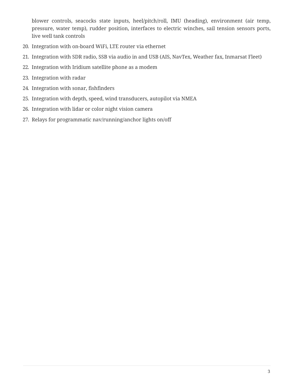blower controls, seacocks state inputs, heel/pitch/roll, IMU (heading), environment (air temp, pressure, water temp), rudder position, interfaces to electric winches, sail tension sensors ports, live well tank controls

- 20. Integration with on-board WiFi, LTE router via ethernet
- 21. Integration with SDR radio, SSB via audio in and USB (AIS, NavTex, Weather fax, Inmarsat Fleet)
- 22. Integration with Iridium satellite phone as a modem
- 23. Integration with radar
- 24. Integration with sonar, fishfinders
- 25. Integration with depth, speed, wind transducers, autopilot via NMEA
- 26. Integration with lidar or color night vision camera
- 27. Relays for programmatic nav/running/anchor lights on/off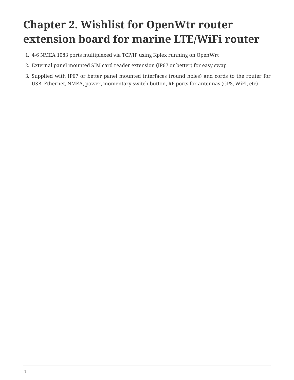## **Chapter 2. Wishlist for OpenWtr router extension board for marine LTE/WiFi router**

- 1. 4-6 NMEA 1083 ports multiplexed via TCP/IP using Kplex running on OpenWrt
- 2. External panel mounted SIM card reader extension (IP67 or better) for easy swap
- 3. Supplied with IP67 or better panel mounted interfaces (round holes) and cords to the router for USB, Ethernet, NMEA, power, momentary switch button, RF ports for antennas (GPS, WiFi, etc)